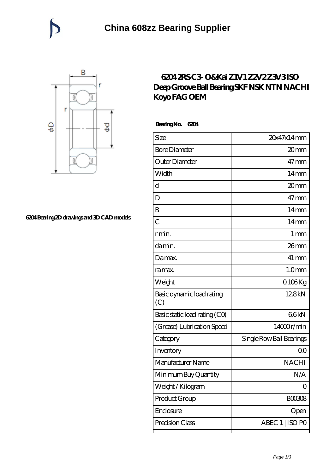

## **[6204 Bearing 2D drawings and 3D CAD models](https://catchios.com/pic-592286.html)**

## **[6204 2RS C3- O&Kai Z1V1 Z2V2 Z3V3 ISO](https://catchios.com/fag-c3-bearing/nachi-6204.html) [Deep Groove Ball Bearing SKF NSK NTN NACHI](https://catchios.com/fag-c3-bearing/nachi-6204.html) [Koyo FAG OEM](https://catchios.com/fag-c3-bearing/nachi-6204.html)**

 **Bearing No. 6204**

| Size                             | 20x47x14mm               |
|----------------------------------|--------------------------|
| <b>Bore Diameter</b>             | 20mm                     |
| Outer Diameter                   | $47 \,\mathrm{mm}$       |
| Width                            | 14mm                     |
| d                                | 20mm                     |
| D                                | $47 \text{mm}$           |
| B                                | $14 \text{mm}$           |
| $\overline{C}$                   | 14 <sub>mm</sub>         |
| r min.                           | 1 <sub>mm</sub>          |
| da min.                          | $26$ mm                  |
| Damax.                           | $41 \,\mathrm{mm}$       |
| ra max.                          | 1.0 <sub>mm</sub>        |
| Weight                           | $0.106$ Kg               |
| Basic dynamic load rating<br>(C) | 12,8kN                   |
| Basic static load rating (CO)    | 66kN                     |
| (Grease) Lubrication Speed       | 14000r/min               |
| Category                         | Single Row Ball Bearings |
| Inventory                        | Q0                       |
| Manufacturer Name                | <b>NACHI</b>             |
| Minimum Buy Quantity             | N/A                      |
| Weight / Kilogram                | 0                        |
| Product Group                    | <b>BOO308</b>            |
| Enclosure                        | Open                     |
| Precision Class                  | ABEC 1   ISO PO          |
|                                  |                          |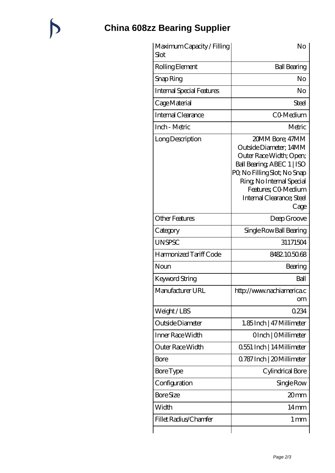## **[China 608zz Bearing Supplier](https://catchios.com)**

 $\bigtriangledown$ 

| Maximum Capacity / Filling<br>Slot | No                                                                                                                                                                                                                        |
|------------------------------------|---------------------------------------------------------------------------------------------------------------------------------------------------------------------------------------------------------------------------|
| Rolling Element                    | <b>Ball Bearing</b>                                                                                                                                                                                                       |
| Snap Ring                          | No                                                                                                                                                                                                                        |
| <b>Internal Special Features</b>   | No                                                                                                                                                                                                                        |
| Cage Material                      | Steel                                                                                                                                                                                                                     |
| Internal Clearance                 | CO-Medium                                                                                                                                                                                                                 |
| Inch - Metric                      | Metric                                                                                                                                                                                                                    |
| Long Description                   | 20MM Bore; 47MM<br>Outside Diameter; 14MM<br>Outer Race Width; Open;<br>Ball Bearing ABEC 1   ISO<br>PQ No Filling Slot; No Snap<br>Ring, No Internal Special<br>Features; CO-Medium<br>Internal Clearance; Steel<br>Cage |
| <b>Other Features</b>              | Deep Groove                                                                                                                                                                                                               |
| Category                           | Single Row Ball Bearing                                                                                                                                                                                                   |
| <b>UNSPSC</b>                      | 31171504                                                                                                                                                                                                                  |
| Harmonized Tariff Code             | 8482.105068                                                                                                                                                                                                               |
| Noun                               | Bearing                                                                                                                                                                                                                   |
| Keyword String                     | Ball                                                                                                                                                                                                                      |
| Manufacturer URL                   | http://www.nachiamerica.c<br><b>om</b>                                                                                                                                                                                    |
| Weight/LBS                         | 0234                                                                                                                                                                                                                      |
| Outside Diameter                   | 1.85Inch   47 Millimeter                                                                                                                                                                                                  |
| Inner Race Width                   | OInch   OMillimeter                                                                                                                                                                                                       |
| <b>Outer Race Width</b>            | 0.551 Inch   14 Millimeter                                                                                                                                                                                                |
| Bore                               | Q787 Inch   20 Millimeter                                                                                                                                                                                                 |
| <b>Bore</b> Type                   | Cylindrical Bore                                                                                                                                                                                                          |
| Configuration                      | Single Row                                                                                                                                                                                                                |
| <b>Bore Size</b>                   | 20mm                                                                                                                                                                                                                      |
| Width                              | 14mm                                                                                                                                                                                                                      |
| Fillet Radius/Chamfer              | $1 \,\mathrm{mm}$                                                                                                                                                                                                         |